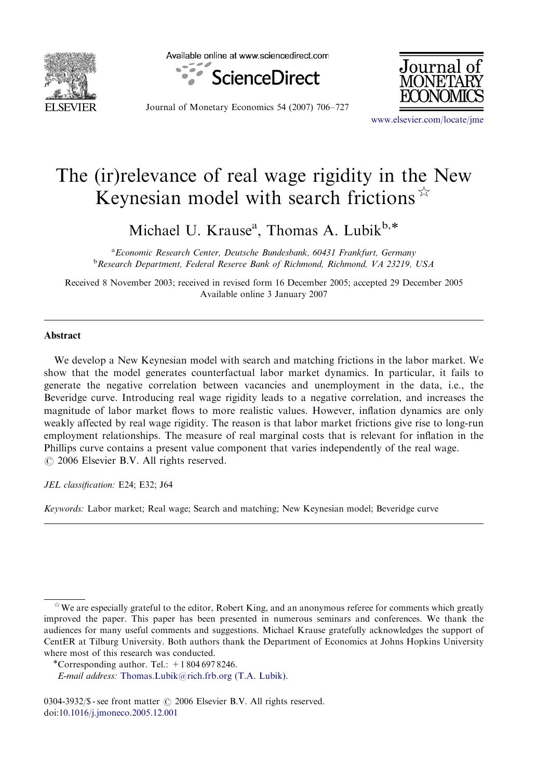

Available online at www.sciencedirect.com





Journal of Monetary Economics 54 (2007) 706–727

<www.elsevier.com/locate/jme>

## The (ir)relevance of real wage rigidity in the New Keynesian model with search frictions  $\hat{X}$

Michael U. Krause<sup>a</sup>, Thomas A. Lubik<sup>b,\*</sup>

<sup>a</sup> Economic Research Center, Deutsche Bundesbank, 60431 Frankfurt, Germany <sup>b</sup> Research Department, Federal Reserve Bank of Richmond, Richmond, VA 23219, USA

Received 8 November 2003; received in revised form 16 December 2005; accepted 29 December 2005 Available online 3 January 2007

## Abstract

We develop a New Keynesian model with search and matching frictions in the labor market. We show that the model generates counterfactual labor market dynamics. In particular, it fails to generate the negative correlation between vacancies and unemployment in the data, i.e., the Beveridge curve. Introducing real wage rigidity leads to a negative correlation, and increases the magnitude of labor market flows to more realistic values. However, inflation dynamics are only weakly affected by real wage rigidity. The reason is that labor market frictions give rise to long-run employment relationships. The measure of real marginal costs that is relevant for inflation in the Phillips curve contains a present value component that varies independently of the real wage.  $\circ$  2006 Elsevier B.V. All rights reserved.

JEL classification: E24; E32; J64

Keywords: Labor market; Real wage; Search and matching; New Keynesian model; Beveridge curve

 $\hat{X}$  We are especially grateful to the editor, Robert King, and an anonymous referee for comments which greatly improved the paper. This paper has been presented in numerous seminars and conferences. We thank the audiences for many useful comments and suggestions. Michael Krause gratefully acknowledges the support of CentER at Tilburg University. Both authors thank the Department of Economics at Johns Hopkins University where most of this research was conducted.

<sup>\*</sup>Corresponding author. Tel.:  $+18046978246$ .

E-mail address: [Thomas.Lubik@rich.frb.org \(T.A. Lubik\).](mailto:Thomas.Lubik@rich.frb.org)

<sup>0304-3932/\$ -</sup> see front matter  $\odot$  2006 Elsevier B.V. All rights reserved. doi[:10.1016/j.jmoneco.2005.12.001](dx.doi.org/10.1016/j.jmoneco.2005.12.001)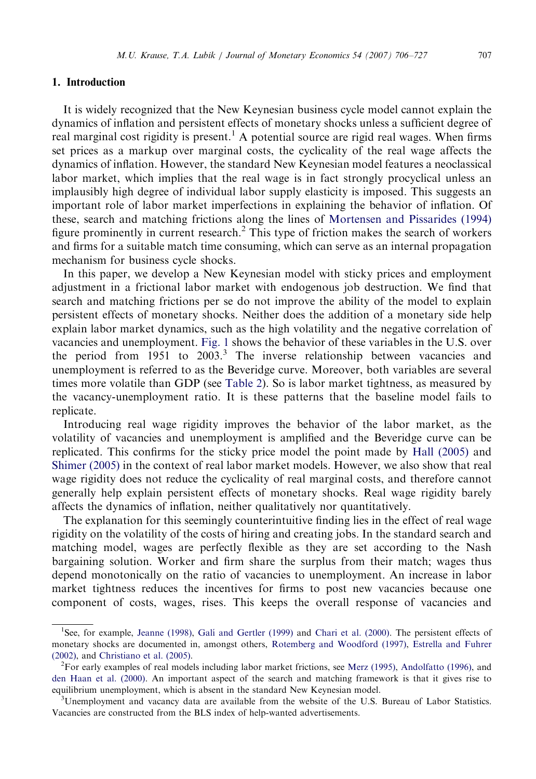## 1. Introduction

It is widely recognized that the New Keynesian business cycle model cannot explain the dynamics of inflation and persistent effects of monetary shocks unless a sufficient degree of real marginal cost rigidity is present.<sup>1</sup> A potential source are rigid real wages. When firms set prices as a markup over marginal costs, the cyclicality of the real wage affects the dynamics of inflation. However, the standard New Keynesian model features a neoclassical labor market, which implies that the real wage is in fact strongly procyclical unless an implausibly high degree of individual labor supply elasticity is imposed. This suggests an important role of labor market imperfections in explaining the behavior of inflation. Of these, search and matching frictions along the lines of [Mortensen and Pissarides \(1994\)](#page--1-0) figure prominently in current research.<sup>2</sup> This type of friction makes the search of workers and firms for a suitable match time consuming, which can serve as an internal propagation mechanism for business cycle shocks.

In this paper, we develop a New Keynesian model with sticky prices and employment adjustment in a frictional labor market with endogenous job destruction. We find that search and matching frictions per se do not improve the ability of the model to explain persistent effects of monetary shocks. Neither does the addition of a monetary side help explain labor market dynamics, such as the high volatility and the negative correlation of vacancies and unemployment. [Fig. 1](#page--1-0) shows the behavior of these variables in the U.S. over the period from  $1951$  to  $2003<sup>3</sup>$ . The inverse relationship between vacancies and unemployment is referred to as the Beveridge curve. Moreover, both variables are several times more volatile than GDP (see [Table 2\)](#page--1-0). So is labor market tightness, as measured by the vacancy-unemployment ratio. It is these patterns that the baseline model fails to replicate.

Introducing real wage rigidity improves the behavior of the labor market, as the volatility of vacancies and unemployment is amplified and the Beveridge curve can be replicated. This confirms for the sticky price model the point made by [Hall \(2005\)](#page--1-0) and [Shimer \(2005\)](#page--1-0) in the context of real labor market models. However, we also show that real wage rigidity does not reduce the cyclicality of real marginal costs, and therefore cannot generally help explain persistent effects of monetary shocks. Real wage rigidity barely affects the dynamics of inflation, neither qualitatively nor quantitatively.

The explanation for this seemingly counterintuitive finding lies in the effect of real wage rigidity on the volatility of the costs of hiring and creating jobs. In the standard search and matching model, wages are perfectly flexible as they are set according to the Nash bargaining solution. Worker and firm share the surplus from their match; wages thus depend monotonically on the ratio of vacancies to unemployment. An increase in labor market tightness reduces the incentives for firms to post new vacancies because one component of costs, wages, rises. This keeps the overall response of vacancies and

<sup>&</sup>lt;sup>1</sup>See, for example, [Jeanne \(1998\),](#page--1-0) Galí [and Gertler \(1999\)](#page--1-0) and [Chari et al. \(2000\)](#page--1-0). The persistent effects of monetary shocks are documented in, amongst others, [Rotemberg and Woodford \(1997\),](#page--1-0) [Estrella and Fuhrer](#page--1-0) [\(2002\),](#page--1-0) and [Christiano et al. \(2005\)](#page--1-0). <sup>2</sup>

<sup>&</sup>lt;sup>2</sup>For early examples of real models including labor market frictions, see [Merz \(1995\)](#page--1-0), [Andolfatto \(1996\),](#page--1-0) and [den Haan et al. \(2000\).](#page--1-0) An important aspect of the search and matching framework is that it gives rise to equilibrium unemployment, which is absent in the standard New Keynesian model.

 $3$ Unemployment and vacancy data are available from the website of the U.S. Bureau of Labor Statistics. Vacancies are constructed from the BLS index of help-wanted advertisements.